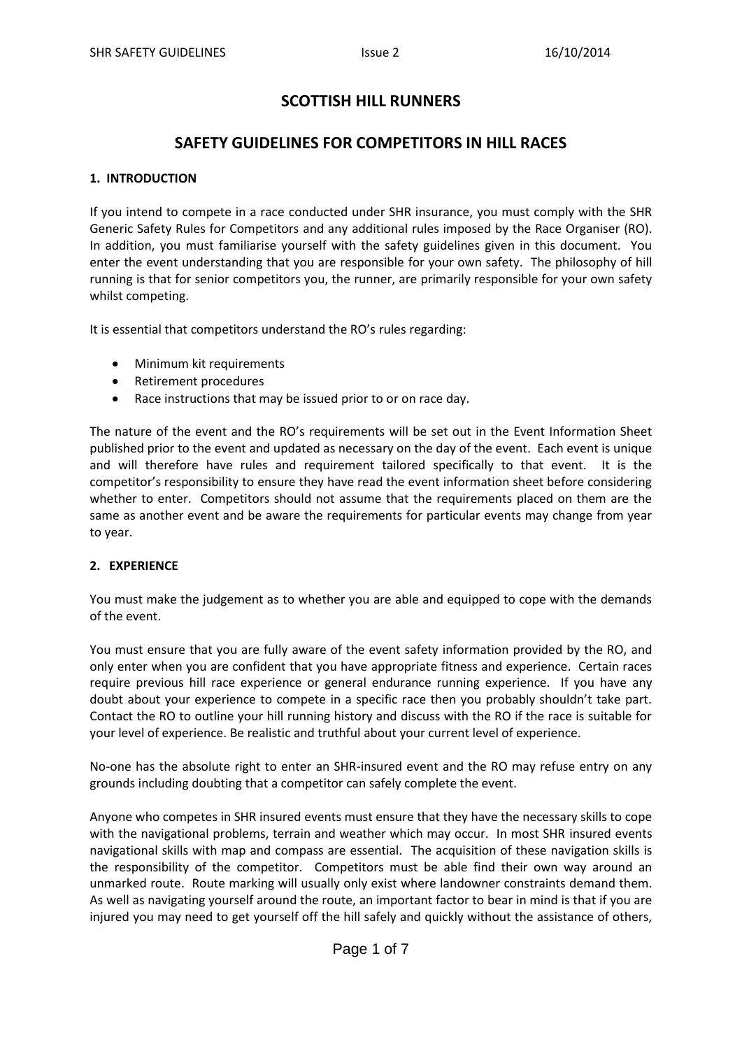# **SCOTTISH HILL RUNNERS**

# **SAFETY GUIDELINES FOR COMPETITORS IN HILL RACES**

# **1. INTRODUCTION**

If you intend to compete in a race conducted under SHR insurance, you must comply with the SHR Generic Safety Rules for Competitors and any additional rules imposed by the Race Organiser (RO). In addition, you must familiarise yourself with the safety guidelines given in this document. You enter the event understanding that you are responsible for your own safety. The philosophy of hill running is that for senior competitors you, the runner, are primarily responsible for your own safety whilst competing.

It is essential that competitors understand the RO's rules regarding:

- Minimum kit requirements
- Retirement procedures  $\bullet$
- Race instructions that may be issued prior to or on race day.  $\bullet$

The nature of the event and the RO's requirements will be set out in the Event Information Sheet published prior to the event and updated as necessary on the day of the event. Each event is unique and will therefore have rules and requirement tailored specifically to that event. It is the competitor's responsibility to ensure they have read the event information sheet before considering whether to enter. Competitors should not assume that the requirements placed on them are the same as another event and be aware the requirements for particular events may change from year to year.

# **2. EXPERIENCE**

You must make the judgement as to whether you are able and equipped to cope with the demands of the event.

You must ensure that you are fully aware of the event safety information provided by the RO, and only enter when you are confident that you have appropriate fitness and experience. Certain races require previous hill race experience or general endurance running experience. If you have any doubt about your experience to compete in a specific race then you probably shouldn't take part. Contact the RO to outline your hill running history and discuss with the RO if the race is suitable for your level of experience. Be realistic and truthful about your current level of experience.

No-one has the absolute right to enter an SHR-insured event and the RO may refuse entry on any grounds including doubting that a competitor can safely complete the event.

Anyone who competes in SHR insured events must ensure that they have the necessary skills to cope with the navigational problems, terrain and weather which may occur. In most SHR insured events navigational skills with map and compass are essential. The acquisition of these navigation skills is the responsibility of the competitor. Competitors must be able find their own way around an unmarked route. Route marking will usually only exist where landowner constraints demand them. As well as navigating yourself around the route, an important factor to bear in mind is that if you are injured you may need to get yourself off the hill safely and quickly without the assistance of others,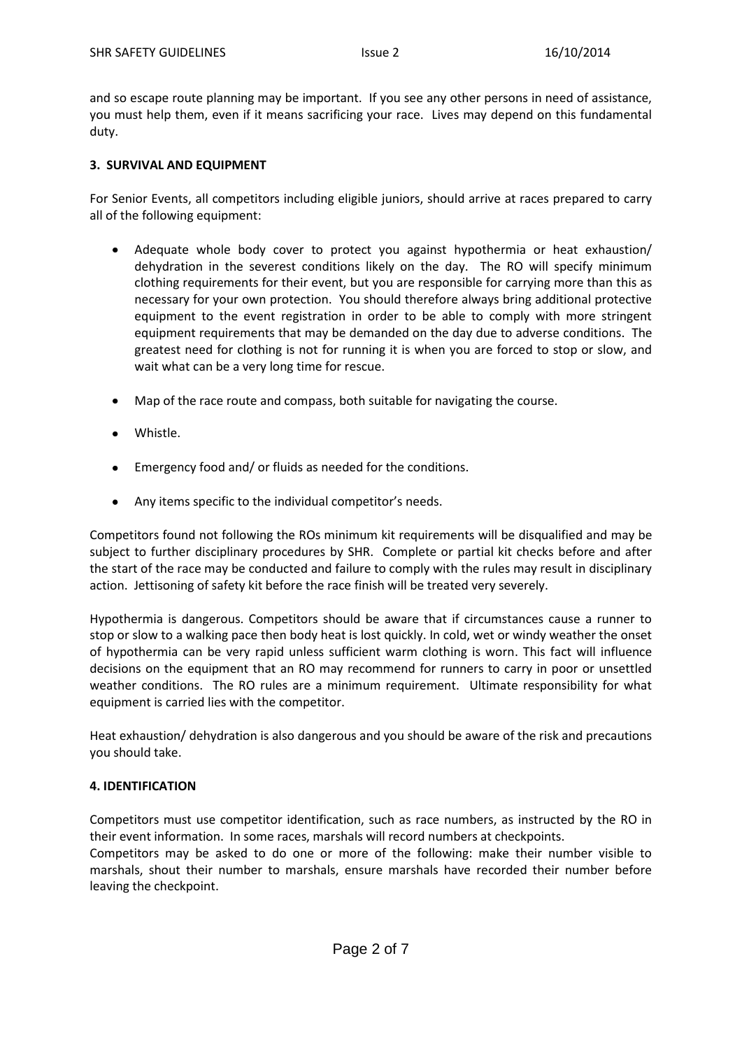and so escape route planning may be important. If you see any other persons in need of assistance, you must help them, even if it means sacrificing your race. Lives may depend on this fundamental duty.

## **3. SURVIVAL AND EQUIPMENT**

For Senior Events, all competitors including eligible juniors, should arrive at races prepared to carry all of the following equipment:

- Adequate whole body cover to protect you against hypothermia or heat exhaustion/ dehydration in the severest conditions likely on the day. The RO will specify minimum clothing requirements for their event, but you are responsible for carrying more than this as necessary for your own protection. You should therefore always bring additional protective equipment to the event registration in order to be able to comply with more stringent equipment requirements that may be demanded on the day due to adverse conditions. The greatest need for clothing is not for running it is when you are forced to stop or slow, and wait what can be a very long time for rescue.
- Map of the race route and compass, both suitable for navigating the course.
- Whistle.
- Emergency food and/ or fluids as needed for the conditions.
- Any items specific to the individual competitor's needs.

Competitors found not following the ROs minimum kit requirements will be disqualified and may be subject to further disciplinary procedures by SHR. Complete or partial kit checks before and after the start of the race may be conducted and failure to comply with the rules may result in disciplinary action. Jettisoning of safety kit before the race finish will be treated very severely.

Hypothermia is dangerous. Competitors should be aware that if circumstances cause a runner to stop or slow to a walking pace then body heat is lost quickly. In cold, wet or windy weather the onset of hypothermia can be very rapid unless sufficient warm clothing is worn. This fact will influence decisions on the equipment that an RO may recommend for runners to carry in poor or unsettled weather conditions. The RO rules are a minimum requirement. Ultimate responsibility for what equipment is carried lies with the competitor.

Heat exhaustion/ dehydration is also dangerous and you should be aware of the risk and precautions you should take.

# **4. IDENTIFICATION**

Competitors must use competitor identification, such as race numbers, as instructed by the RO in their event information. In some races, marshals will record numbers at checkpoints.

Competitors may be asked to do one or more of the following: make their number visible to marshals, shout their number to marshals, ensure marshals have recorded their number before leaving the checkpoint.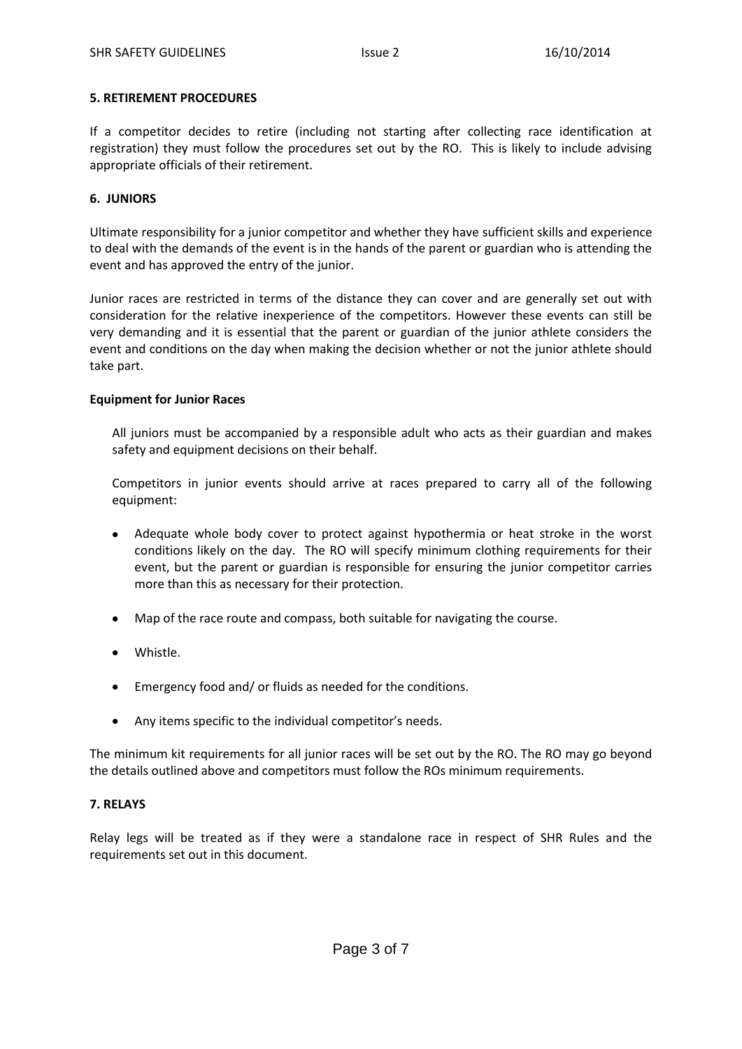### **5. RETIREMENT PROCEDURES**

If a competitor decides to retire (including not starting after collecting race identification at registration) they must follow the procedures set out by the RO. This is likely to include advising appropriate officials of their retirement.

## **6. JUNIORS**

Ultimate responsibility for a junior competitor and whether they have sufficient skills and experience to deal with the demands of the event is in the hands of the parent or guardian who is attending the event and has approved the entry of the junior.

Junior races are restricted in terms of the distance they can cover and are generally set out with consideration for the relative inexperience of the competitors. However these events can still be very demanding and it is essential that the parent or guardian of the junior athlete considers the event and conditions on the day when making the decision whether or not the junior athlete should take part.

## **Equipment for Junior Races**

All juniors must be accompanied by a responsible adult who acts as their guardian and makes safety and equipment decisions on their behalf.

Competitors in junior events should arrive at races prepared to carry all of the following equipment:

- $\bullet$ Adequate whole body cover to protect against hypothermia or heat stroke in the worst conditions likely on the day. The RO will specify minimum clothing requirements for their event, but the parent or guardian is responsible for ensuring the junior competitor carries more than this as necessary for their protection.
- Map of the race route and compass, both suitable for navigating the course.
- Whistle.
- Emergency food and/ or fluids as needed for the conditions.
- $\bullet$ Any items specific to the individual competitor's needs.

The minimum kit requirements for all junior races will be set out by the RO. The RO may go beyond the details outlined above and competitors must follow the ROs minimum requirements.

# **7. RELAYS**

Relay legs will be treated as if they were a standalone race in respect of SHR Rules and the requirements set out in this document.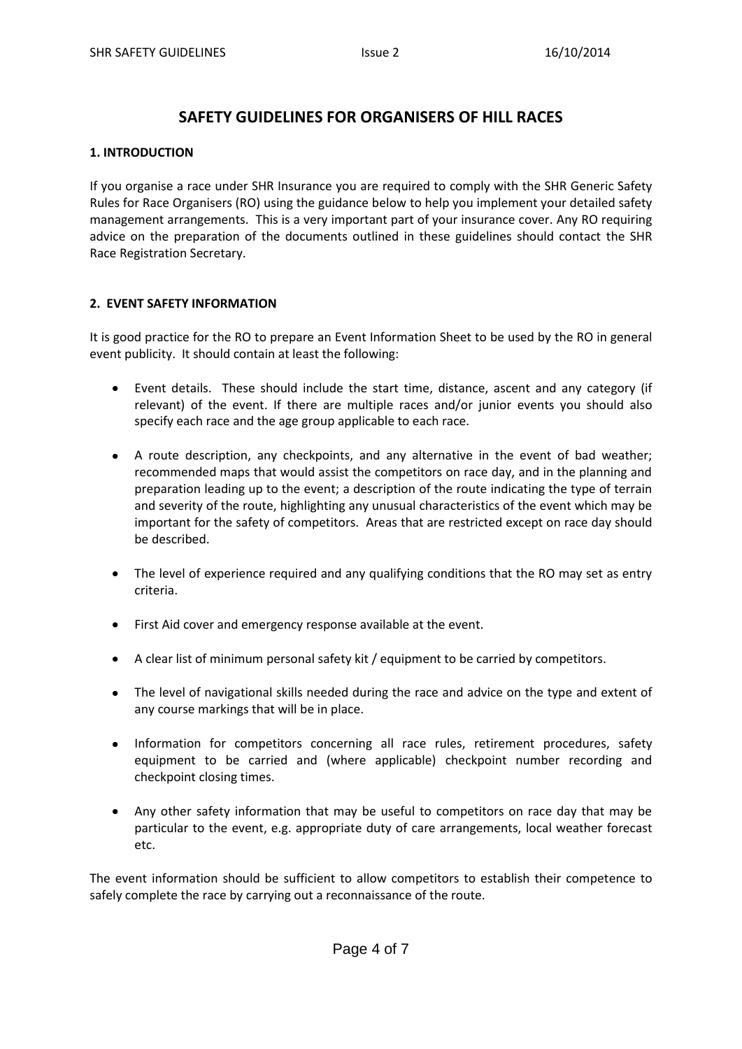# **SAFETY GUIDELINES FOR ORGANISERS OF HILL RACES**

## **1. INTRODUCTION**

If you organise a race under SHR Insurance you are required to comply with the SHR Generic Safety Rules for Race Organisers (RO) using the guidance below to help you implement your detailed safety management arrangements. This is a very important part of your insurance cover. Any RO requiring advice on the preparation of the documents outlined in these guidelines should contact the SHR Race Registration Secretary.

# **2. EVENT SAFETY INFORMATION**

It is good practice for the RO to prepare an Event Information Sheet to be used by the RO in general event publicity. It should contain at least the following:

- Event details. These should include the start time, distance, ascent and any category (if relevant) of the event. If there are multiple races and/or junior events you should also specify each race and the age group applicable to each race.
- A route description, any checkpoints, and any alternative in the event of bad weather; recommended maps that would assist the competitors on race day, and in the planning and preparation leading up to the event; a description of the route indicating the type of terrain and severity of the route, highlighting any unusual characteristics of the event which may be important for the safety of competitors. Areas that are restricted except on race day should be described.
- The level of experience required and any qualifying conditions that the RO may set as entry criteria.
- First Aid cover and emergency response available at the event.
- A clear list of minimum personal safety kit / equipment to be carried by competitors.  $\bullet$
- The level of navigational skills needed during the race and advice on the type and extent of any course markings that will be in place.
- $\bullet$ Information for competitors concerning all race rules, retirement procedures, safety equipment to be carried and (where applicable) checkpoint number recording and checkpoint closing times.
- Any other safety information that may be useful to competitors on race day that may be particular to the event, e.g. appropriate duty of care arrangements, local weather forecast etc.

The event information should be sufficient to allow competitors to establish their competence to safely complete the race by carrying out a reconnaissance of the route.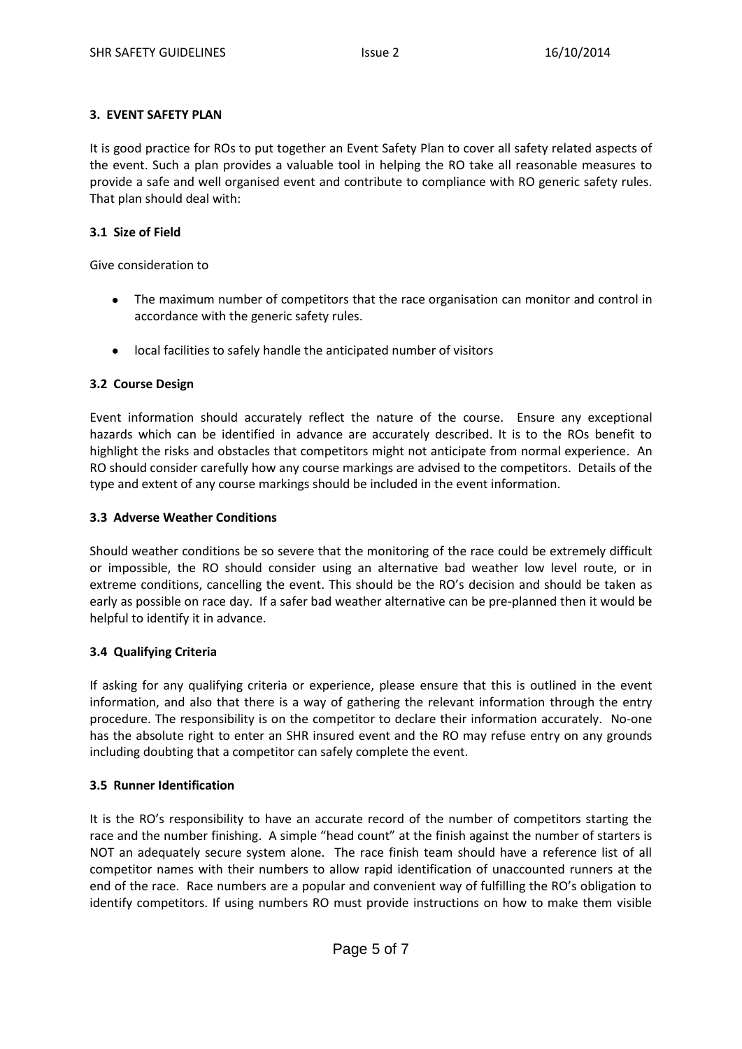# **3. EVENT SAFETY PLAN**

It is good practice for ROs to put together an Event Safety Plan to cover all safety related aspects of the event. Such a plan provides a valuable tool in helping the RO take all reasonable measures to provide a safe and well organised event and contribute to compliance with RO generic safety rules. That plan should deal with:

# **3.1 Size of Field**

Give consideration to

- The maximum number of competitors that the race organisation can monitor and control in accordance with the generic safety rules.
- local facilities to safely handle the anticipated number of visitors

# **3.2 Course Design**

Event information should accurately reflect the nature of the course. Ensure any exceptional hazards which can be identified in advance are accurately described. It is to the ROs benefit to highlight the risks and obstacles that competitors might not anticipate from normal experience. An RO should consider carefully how any course markings are advised to the competitors. Details of the type and extent of any course markings should be included in the event information.

# **3.3 Adverse Weather Conditions**

Should weather conditions be so severe that the monitoring of the race could be extremely difficult or impossible, the RO should consider using an alternative bad weather low level route, or in extreme conditions, cancelling the event. This should be the RO's decision and should be taken as early as possible on race day. If a safer bad weather alternative can be pre-planned then it would be helpful to identify it in advance.

# **3.4 Qualifying Criteria**

If asking for any qualifying criteria or experience, please ensure that this is outlined in the event information, and also that there is a way of gathering the relevant information through the entry procedure. The responsibility is on the competitor to declare their information accurately. No-one has the absolute right to enter an SHR insured event and the RO may refuse entry on any grounds including doubting that a competitor can safely complete the event.

# **3.5 Runner Identification**

It is the RO's responsibility to have an accurate record of the number of competitors starting the race and the number finishing. A simple "head count" at the finish against the number of starters is NOT an adequately secure system alone. The race finish team should have a reference list of all competitor names with their numbers to allow rapid identification of unaccounted runners at the end of the race. Race numbers are a popular and convenient way of fulfilling the RO's obligation to identify competitors. If using numbers RO must provide instructions on how to make them visible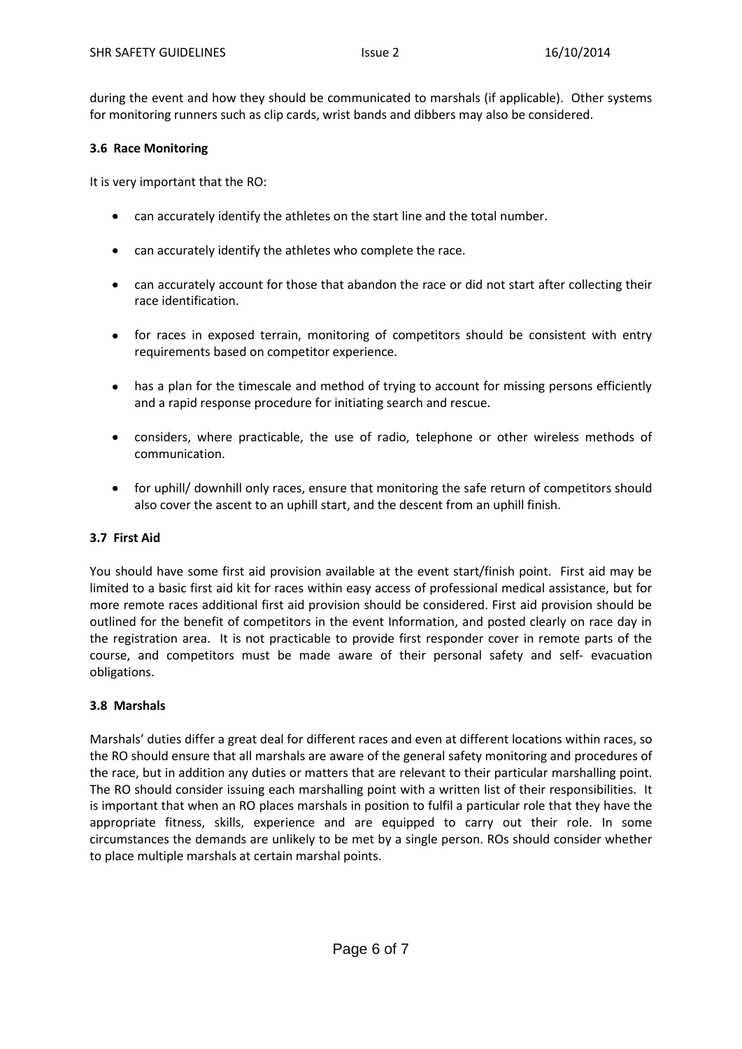during the event and how they should be communicated to marshals (if applicable). Other systems for monitoring runners such as clip cards, wrist bands and dibbers may also be considered.

## **3.6 Race Monitoring**

It is very important that the RO:

- can accurately identify the athletes on the start line and the total number.
- can accurately identify the athletes who complete the race.
- $\bullet$ can accurately account for those that abandon the race or did not start after collecting their race identification.
- for races in exposed terrain, monitoring of competitors should be consistent with entry requirements based on competitor experience.
- has a plan for the timescale and method of trying to account for missing persons efficiently  $\bullet$ and a rapid response procedure for initiating search and rescue.
- considers, where practicable, the use of radio, telephone or other wireless methods of communication.
- for uphill/ downhill only races, ensure that monitoring the safe return of competitors should also cover the ascent to an uphill start, and the descent from an uphill finish.

#### **3.7 First Aid**

You should have some first aid provision available at the event start/finish point. First aid may be limited to a basic first aid kit for races within easy access of professional medical assistance, but for more remote races additional first aid provision should be considered. First aid provision should be outlined for the benefit of competitors in the event Information, and posted clearly on race day in the registration area. It is not practicable to provide first responder cover in remote parts of the course, and competitors must be made aware of their personal safety and self- evacuation obligations.

#### **3.8 Marshals**

Marshals' duties differ a great deal for different races and even at different locations within races, so the RO should ensure that all marshals are aware of the general safety monitoring and procedures of the race, but in addition any duties or matters that are relevant to their particular marshalling point. The RO should consider issuing each marshalling point with a written list of their responsibilities. It is important that when an RO places marshals in position to fulfil a particular role that they have the appropriate fitness, skills, experience and are equipped to carry out their role. In some circumstances the demands are unlikely to be met by a single person. ROs should consider whether to place multiple marshals at certain marshal points.